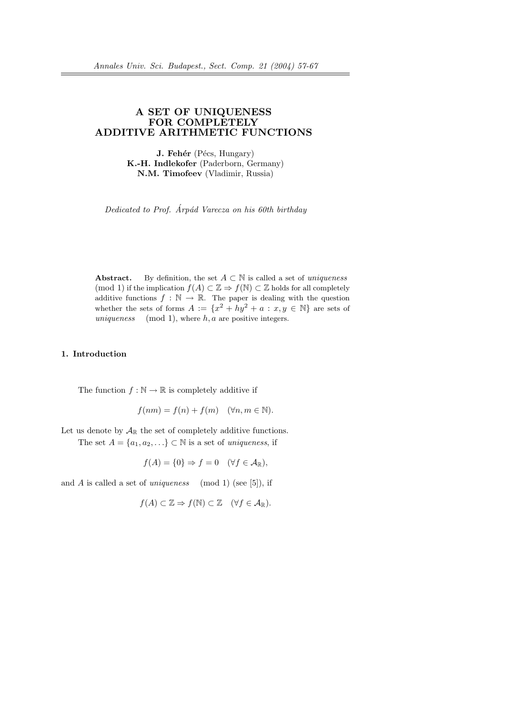# A SET OF UNIQUENESS FOR COMPLETELY ADDITIVE ARITHMETIC FUNCTIONS

**J. Fehér** (Pécs, Hungary) K.-H. Indlekofer (Paderborn, Germany) N.M. Timofeev (Vladimir, Russia)

Dedicated to Prof. Arpád Varecza on his  $60th$  birthday

Abstract. By definition, the set  $A \subset \mathbb{N}$  is called a set of uniqueness (mod 1) if the implication  $f(A) \subset \mathbb{Z} \Rightarrow f(\mathbb{N}) \subset \mathbb{Z}$  holds for all completely additive functions  $f : \mathbb{N} \to \mathbb{R}$ . The paper is dealing with the question whether the sets of forms  $A := \{x^2 + hy^2 + a : x, y \in \mathbb{N}\}\)$  are sets of uniqueness (mod 1), where h, a are positive integers.

# 1. Introduction

The function  $f : \mathbb{N} \to \mathbb{R}$  is completely additive if

$$
f(nm) = f(n) + f(m) \quad (\forall n, m \in \mathbb{N}).
$$

Let us denote by  $\mathcal{A}_{\mathbb{R}}$  the set of completely additive functions.

The set  $A = \{a_1, a_2, \ldots\} \subset \mathbb{N}$  is a set of uniqueness, if

$$
f(A) = \{0\} \Rightarrow f = 0 \quad (\forall f \in \mathcal{A}_{\mathbb{R}}),
$$

and A is called a set of *uniqueness* (mod 1) (see [5]), if

$$
f(A) \subset \mathbb{Z} \Rightarrow f(\mathbb{N}) \subset \mathbb{Z} \quad (\forall f \in \mathcal{A}_{\mathbb{R}}).
$$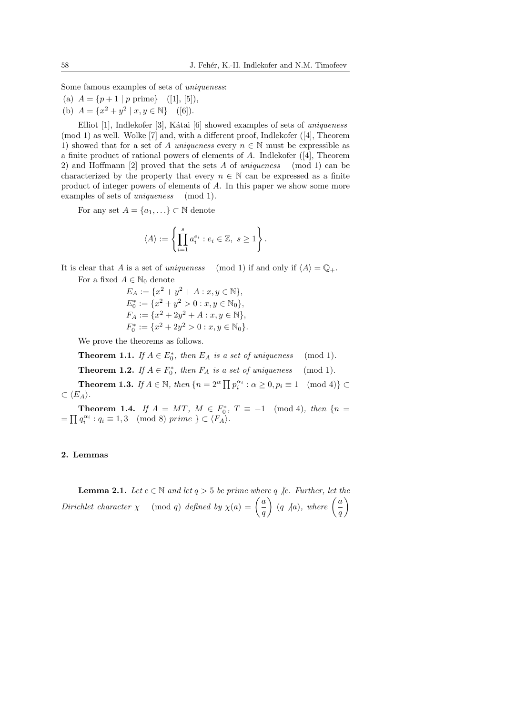Some famous examples of sets of uniqueness:

- (a)  $A = \{p+1 \mid p \text{ prime}\}\$  ([1], [5]),
- (b)  $A = \{x^2 + y^2 \mid x, y \in \mathbb{N}\}\$  ([6]).

Elliot [1], Indlekofer [3], Kátai [6] showed examples of sets of uniqueness (mod 1) as well. Wolke [7] and, with a different proof, Indlekofer ([4], Theorem 1) showed that for a set of A uniqueness every  $n \in \mathbb{N}$  must be expressible as a finite product of rational powers of elements of A. Indlekofer ([4], Theorem 2) and Hoffmann [2] proved that the sets A of uniqueness (mod 1) can be characterized by the property that every  $n \in \mathbb{N}$  can be expressed as a finite product of integer powers of elements of A. In this paper we show some more examples of sets of *uniqueness* (mod 1).

For any set  $A = \{a_1, ...\} \subset \mathbb{N}$  denote

$$
\langle A \rangle := \left\{ \prod_{i=1}^s a_i^{e_i} : e_i \in \mathbb{Z}, \ s \geq 1 \right\}.
$$

It is clear that A is a set of uniqueness (mod 1) if and only if  $\langle A \rangle = \mathbb{Q}_+$ .

For a fixed  $A \in \mathbb{N}_0$  denote

$$
E_A := \{x^2 + y^2 + A : x, y \in \mathbb{N}\},
$$
  
\n
$$
E_0^* := \{x^2 + y^2 > 0 : x, y \in \mathbb{N}_0\},
$$
  
\n
$$
F_A := \{x^2 + 2y^2 + A : x, y \in \mathbb{N}\},
$$
  
\n
$$
F_0^* := \{x^2 + 2y^2 > 0 : x, y \in \mathbb{N}_0\}.
$$

We prove the theorems as follows.

**Theorem 1.1.** If  $A \in E_0^*$ , then  $E_A$  is a set of uniqueness (mod 1).

**Theorem 1.2.** If  $A \in F_0^*$ , then  $F_A$  is a set of uniqueness (mod 1).

**Theorem 1.3.** If  $A \in \mathbb{N}$ , then  $\{n = 2^{\alpha} \prod p_i^{\alpha_i} : \alpha \geq 0, p_i \equiv 1 \pmod{4} \}$  $\subset \langle E_A \rangle$ .

**Theorem 1.4.** If  $A = MT$ ,  $M \in F_0^*$ ,  $T \equiv -1 \pmod{4}$ , then  $\{n =$ =  $\prod q_i^{\alpha_i}$  :  $q_i \equiv 1, 3 \pmod{8}$  prime  $\} \subset \langle F_A \rangle$ .

## 2. Lemmas

**Lemma 2.1.** Let  $c \in \mathbb{N}$  and let  $q > 5$  be prime where  $q \nmid c$ . Further, let the **Dirichlet character**  $\chi$  (mod q) defined by  $\chi(a) = \begin{pmatrix} a \\ b \end{pmatrix}$ ere q <sub>A</sub>c. Further, let t<br>  $\left(\frac{a}{q}\right)$  (q Aa), where  $\left(\frac{a}{q}\right)$  $\overline{q}$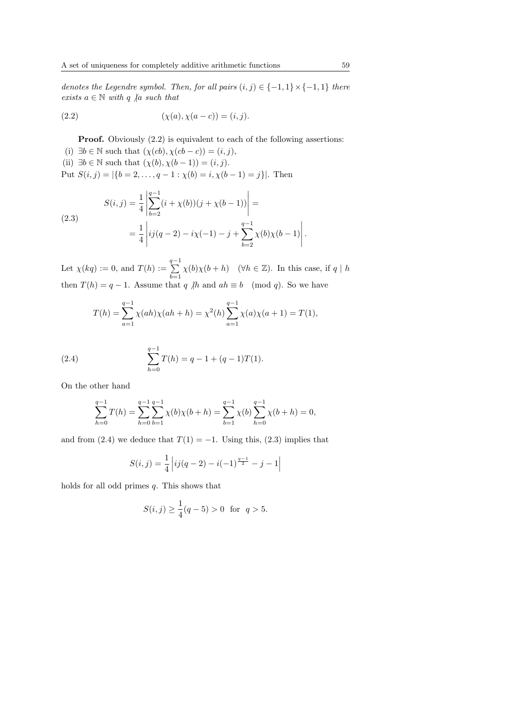denotes the Legendre symbol. Then, for all pairs  $(i, j) \in \{-1, 1\} \times \{-1, 1\}$  there exists  $a \in \mathbb{N}$  with q  $\vert a \vert$  such that

(2.2) 
$$
(\chi(a), \chi(a-c)) = (i, j).
$$

**Proof.** Obviously  $(2.2)$  is equivalent to each of the following assertions:

(i)  $\exists b \in \mathbb{N}$  such that  $(\chi(cb), \chi(cb - c)) = (i, j),$ (ii)  $\exists b \in \mathbb{N}$  such that  $(\chi(b), \chi(b-1)) = (i, j)$ . Put  $S(i, j) = |\{b = 2, \ldots, q - 1 : \chi(b) = i, \chi(b - 1) = j\}|$ . Then  $\overline{a}$  $\overline{a}$ 

(2.3)  

$$
S(i,j) = \frac{1}{4} \left| \sum_{b=2}^{q-1} (i + \chi(b))(j + \chi(b-1)) \right| =
$$

$$
= \frac{1}{4} \left| ij(q-2) - i\chi(-1) - j + \sum_{b=2}^{q-1} \chi(b)\chi(b-1) \right|.
$$

Let  $\chi(kq) := 0$ , and  $T(h) := \sum_{n=1}^{q-1}$  $_{b=1}$  $\chi(b)\chi(b+h)$  ( $\forall h \in \mathbb{Z}$ ). In this case, if q | h then  $T(h) = q - 1$ . Assume that q  $/h$  and  $ah \equiv b \pmod{q}$ . So we have

$$
T(h) = \sum_{a=1}^{q-1} \chi(ah)\chi(ah+h) = \chi^2(h)\sum_{a=1}^{q-1} \chi(a)\chi(a+1) = T(1),
$$

(2.4) 
$$
\sum_{h=0}^{q-1} T(h) = q - 1 + (q-1)T(1).
$$

On the other hand

$$
\sum_{h=0}^{q-1} T(h) = \sum_{h=0}^{q-1} \sum_{b=1}^{q-1} \chi(b)\chi(b+h) = \sum_{b=1}^{q-1} \chi(b) \sum_{h=0}^{q-1} \chi(b+h) = 0,
$$

and from (2.4) we deduce that  $T(1) = -1$ . Using this, (2.3) implies that

$$
S(i,j) = \frac{1}{4} |ij(q-2) - i(-1)^{\frac{q-1}{2}} - j - 1|
$$

holds for all odd primes  $q$ . This shows that

$$
S(i,j) \ge \frac{1}{4}(q-5) > 0 \text{ for } q > 5.
$$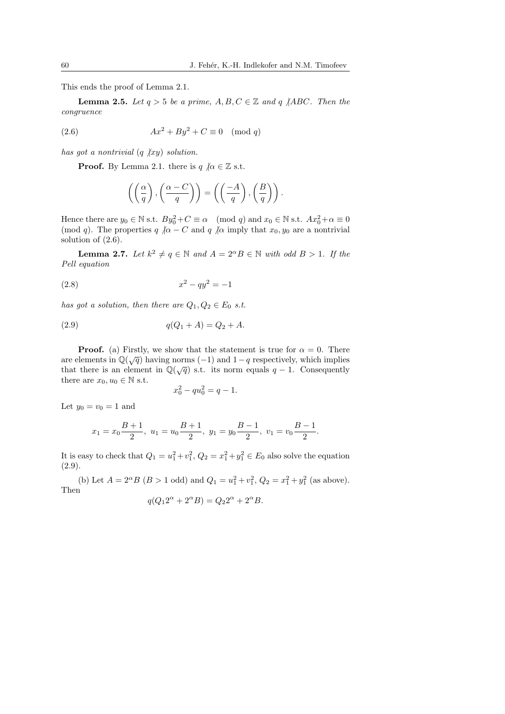This ends the proof of Lemma 2.1.

**Lemma 2.5.** Let  $q > 5$  be a prime,  $A, B, C \in \mathbb{Z}$  and q  $\angle ABC$ . Then the congruence

$$
(2.6) \t\t Ax2 + By2 + C \equiv 0 \pmod{q}
$$

has got a nontrivial  $(q \nvert xy)$  solution.

**Proof.** By Lemma 2.1. there is  $q \nvert a \in \mathbb{Z}$  s.t.

$$
\left( \left( \frac{\alpha}{q} \right), \left( \frac{\alpha - C}{q} \right) \right) = \left( \left( \frac{-A}{q} \right), \left( \frac{B}{q} \right) \right).
$$

Hence there are  $y_0 \in \mathbb{N}$  s.t.  $By_0^2 + C \equiv \alpha \pmod{q}$  and  $x_0 \in \mathbb{N}$  s.t.  $Ax_0^2 + \alpha \equiv 0$ (mod q). The properties q  $\alpha - C$  and q  $\alpha$  imply that  $x_0, y_0$  are a nontrivial solution of (2.6).

**Lemma 2.7.** Let  $k^2 \neq q \in \mathbb{N}$  and  $A = 2^{\alpha}B \in \mathbb{N}$  with odd  $B > 1$ . If the Pell equation

$$
(2.8) \t\t x^2 - qy^2 = -1
$$

has got a solution, then there are  $Q_1, Q_2 \in E_0$  s.t.

(2.9) 
$$
q(Q_1 + A) = Q_2 + A.
$$

**Proof.** (a) Firstly, we show that the statement is true for  $\alpha = 0$ . There are elements in  $\mathbb{Q}(\sqrt{q})$  having norms (-1) and 1 – q respectively, which implies that there is an element in  $\mathbb{Q}(\sqrt{q})$  s.t. its norm equals  $q-1$ . Consequently there are  $x_0, u_0 \in \mathbb{N}$  s.t.

$$
x_0^2 - qu_0^2 = q - 1.
$$

Let  $y_0 = v_0 = 1$  and

$$
x_1 = x_0 \frac{B+1}{2}
$$
,  $u_1 = u_0 \frac{B+1}{2}$ ,  $y_1 = y_0 \frac{B-1}{2}$ ,  $v_1 = v_0 \frac{B-1}{2}$ .

It is easy to check that  $Q_1 = u_1^2 + v_1^2$ ,  $Q_2 = x_1^2 + y_1^2 \in E_0$  also solve the equation (2.9).

(b) Let  $A = 2^{\alpha}B$  ( $B > 1$  odd) and  $Q_1 = u_1^2 + v_1^2$ ,  $Q_2 = x_1^2 + y_1^2$  (as above). Then

$$
q(Q_1 2^{\alpha} + 2^{\alpha} B) = Q_2 2^{\alpha} + 2^{\alpha} B.
$$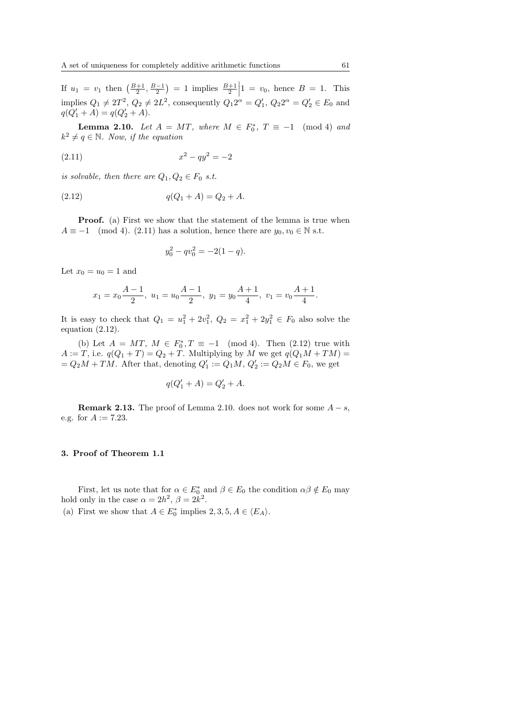If  $u_1 = v_1$  then  $\left(\frac{B+1}{2}, \frac{B-1}{2}\right)$  $= 1$  implies  $\frac{B+1}{2}$  $1 = v_0$ , hence  $B = 1$ . This implies  $Q_1 \neq 2T^2$ ,  $Q_2 \neq 2L^2$ , consequently  $Q_1 2^{\alpha} = Q'_1$ ,  $Q_2 2^{\alpha} = Q'_2 \in E_0$  and  $q(Q'_1 + A) = q(Q'_2 + A).$ 

**Lemma 2.10.** Let  $A = MT$ , where  $M \in F_0^*$ ,  $T \equiv -1 \pmod{4}$  and  $k^2 \neq q \in \mathbb{N}$ . Now, if the equation

$$
(2.11) \t\t x^2 - qy^2 = -2
$$

is solvable, then there are  $Q_1, Q_2 \in F_0$  s.t.

$$
(2.12) \t\t q(Q_1 + A) = Q_2 + A.
$$

**Proof.** (a) First we show that the statement of the lemma is true when  $A \equiv -1 \pmod{4}$ . (2.11) has a solution, hence there are  $y_0, v_0 \in \mathbb{N}$  s.t.

$$
y_0^2 - qv_0^2 = -2(1 - q).
$$

Let  $x_0 = u_0 = 1$  and

$$
x_1 = x_0 \frac{A-1}{2}
$$
,  $u_1 = u_0 \frac{A-1}{2}$ ,  $y_1 = y_0 \frac{A+1}{4}$ ,  $v_1 = v_0 \frac{A+1}{4}$ .

It is easy to check that  $Q_1 = u_1^2 + 2v_1^2$ ,  $Q_2 = x_1^2 + 2y_1^2 \in F_0$  also solve the equation (2.12).

(b) Let  $A = MT$ ,  $M \in F_0^*$ ,  $T \equiv -1 \pmod{4}$ . Then (2.12) true with  $A := T$ , i.e.  $q(Q_1 + T) = Q_2 + T$ . Multiplying by M we get  $q(Q_1M + TM) =$  $= Q_2M + TM$ . After that, denoting  $Q'_1 := Q_1M$ ,  $Q'_2 := Q_2M \in F_0$ , we get

$$
q(Q_1' + A) = Q_2' + A.
$$

**Remark 2.13.** The proof of Lemma 2.10. does not work for some  $A - s$ , e.g. for  $A := 7.23$ .

#### 3. Proof of Theorem 1.1

First, let us note that for  $\alpha \in E_0^*$  and  $\beta \in E_0$  the condition  $\alpha \beta \notin E_0$  may hold only in the case  $\alpha = 2h^2$ ,  $\beta = 2k^2$ .

(a) First we show that  $A \in E_0^*$  implies  $2, 3, 5, A \in \langle E_A \rangle$ .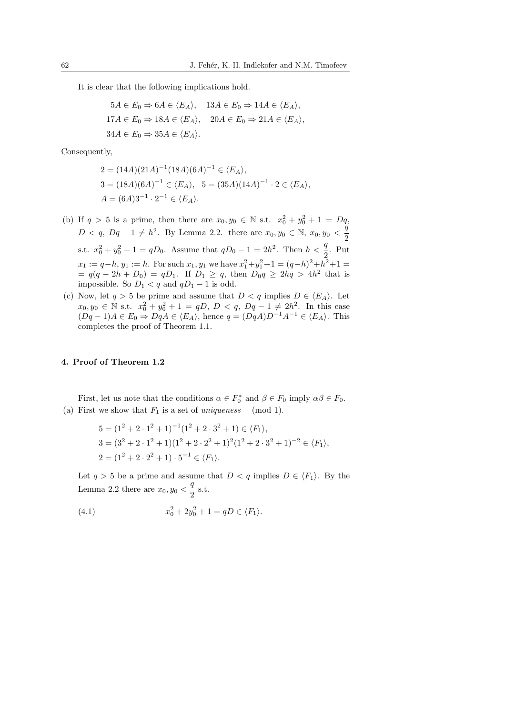It is clear that the following implications hold.

$$
5A \in E_0 \Rightarrow 6A \in \langle E_A \rangle, \quad 13A \in E_0 \Rightarrow 14A \in \langle E_A \rangle,
$$
  

$$
17A \in E_0 \Rightarrow 18A \in \langle E_A \rangle, \quad 20A \in E_0 \Rightarrow 21A \in \langle E_A \rangle,
$$
  

$$
34A \in E_0 \Rightarrow 35A \in \langle E_A \rangle.
$$

Consequently,

$$
2 = (14A)(21A)^{-1}(18A)(6A)^{-1} \in \langle E_A \rangle,
$$
  
\n
$$
3 = (18A)(6A)^{-1} \in \langle E_A \rangle, \quad 5 = (35A)(14A)^{-1} \cdot 2 \in \langle E_A \rangle,
$$
  
\n
$$
A = (6A)3^{-1} \cdot 2^{-1} \in \langle E_A \rangle.
$$

- (b) If  $q > 5$  is a prime, then there are  $x_0, y_0 \in \mathbb{N}$  s.t.  $x_0^2 + y_0^2 + 1 = Dq$ ,  $D < q, Dq - 1 \neq h^2$ . By Lemma 2.2. there are  $x_0, y_0 \in \mathbb{N}, x_0, y_0 < \frac{q}{q}$ 2 s.t.  $x_0^2 + y_0^2 + 1 = qD_0$ . Assume that  $qD_0 - 1 = 2h^2$ . Then  $h < \frac{q}{2}$ . Put  $x_1 := q-h$ ,  $y_1 := h$ . For such  $x_1, y_1$  we have  $x_1^2 + y_1^2 + 1 = (q-h)^2 + h^2 + 1 =$  $= q(q - 2h + D_0) = qD_1$ . If  $D_1 \ge q$ , then  $D_0 q \ge 2hq > 4h^2$  that is impossible. So  $D_1 < q$  and  $qD_1 - 1$  is odd.
- (c) Now, let  $q > 5$  be prime and assume that  $D < q$  implies  $D \in \langle E_A \rangle$ . Let  $x_0, y_0 \in \mathbb{N}$  s.t.  $x_0^2 + y_0^2 + 1 = qD, D < q, Dq - 1 \neq 2h^2$ . In this case  $(Dq-1)A \in E_0 \Rightarrow DqA \in \langle E_A \rangle$ , hence  $q = (DqA)D^{-1}A^{-1} \in \langle E_A \rangle$ . This completes the proof of Theorem 1.1.

## 4. Proof of Theorem 1.2

First, let us note that the conditions  $\alpha \in F_0^*$  and  $\beta \in F_0$  imply  $\alpha \beta \in F_0$ . (a) First we show that  $F_1$  is a set of uniqueness (mod 1).

$$
5 = (1^2 + 2 \cdot 1^2 + 1)^{-1} (1^2 + 2 \cdot 3^2 + 1) \in \langle F_1 \rangle,
$$
  
\n
$$
3 = (3^2 + 2 \cdot 1^2 + 1)(1^2 + 2 \cdot 2^2 + 1)^2 (1^2 + 2 \cdot 3^2 + 1)^{-2} \in \langle F_1 \rangle,
$$
  
\n
$$
2 = (1^2 + 2 \cdot 2^2 + 1) \cdot 5^{-1} \in \langle F_1 \rangle.
$$

Let  $q > 5$  be a prime and assume that  $D < q$  implies  $D \in \langle F_1 \rangle$ . By the Lemma 2.2 there are  $x_0, y_0 < \frac{q}{2}$  $rac{4}{2}$  s.t.

(4.1) 
$$
x_0^2 + 2y_0^2 + 1 = qD \in \langle F_1 \rangle.
$$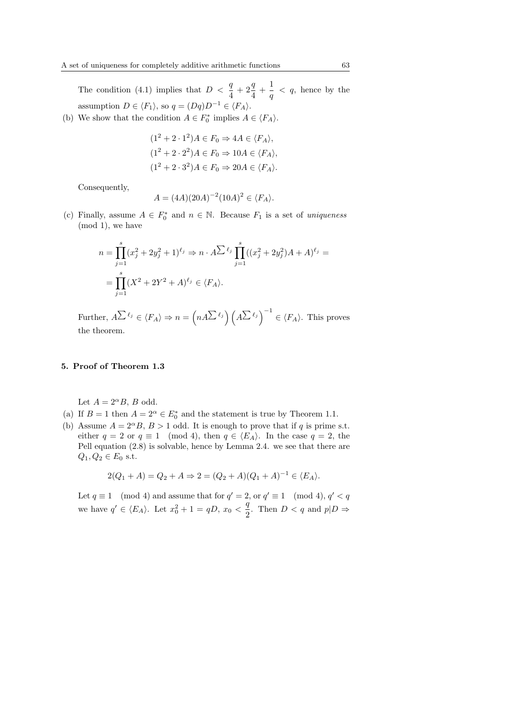The condition (4.1) implies that  $D < \frac{q}{4} + 2\frac{q}{4}$  $\frac{q}{4}+\frac{1}{q}$  $\frac{1}{q}$  < q, hence by the assumption  $D \in \langle F_1 \rangle$ , so  $q = (Dq)D^{-1} \in \langle F_A \rangle$ .

(b) We show that the condition  $A \in F_0^*$  implies  $A \in \langle F_A \rangle$ .

$$
(12 + 2 \cdot 12)A \in F_0 \Rightarrow 4A \in \langle F_A \rangle,
$$
  
\n
$$
(12 + 2 \cdot 22)A \in F_0 \Rightarrow 10A \in \langle F_A \rangle,
$$
  
\n
$$
(12 + 2 \cdot 32)A \in F_0 \Rightarrow 20A \in \langle F_A \rangle.
$$

Consequently,

$$
A = (4A)(20A)^{-2}(10A)^{2} \in \langle F_A \rangle.
$$

(c) Finally, assume  $A \in F_0^*$  and  $n \in \mathbb{N}$ . Because  $F_1$  is a set of uniqueness (mod 1), we have

$$
n = \prod_{j=1}^{s} (x_j^2 + 2y_j^2 + 1)^{\ell_j} \Rightarrow n \cdot A \sum^{\ell_j} \prod_{j=1}^{s} ((x_j^2 + 2y_j^2)A + A)^{\ell_j} =
$$
  
= 
$$
\prod_{j=1}^{s} (X^2 + 2Y^2 + A)^{\ell_j} \in \langle F_A \rangle.
$$

Further,  $A^{\sum \ell_j} \in \langle F_A \rangle \Rightarrow n = \left( \begin{array}{c} 1 \end{array} \right)$  $nA^{\sum \ell_j}$  (  $\left(\sum_{i} \ell_{j}\right)^{-1}$  $\in \langle F_A \rangle$ . This proves the theorem.

### 5. Proof of Theorem 1.3

Let  $A = 2^{\alpha}B$ , B odd.

- (a) If  $B = 1$  then  $A = 2^{\alpha} \in E_0^*$  and the statement is true by Theorem 1.1.
- (b) Assume  $A = 2^{\alpha} B$ ,  $B > 1$  odd. It is enough to prove that if q is prime s.t. either  $q = 2$  or  $q \equiv 1 \pmod{4}$ , then  $q \in \langle E_A \rangle$ . In the case  $q = 2$ , the Pell equation (2.8) is solvable, hence by Lemma 2.4. we see that there are  $Q_1, Q_2 \in E_0$  s.t.

$$
2(Q_1 + A) = Q_2 + A \Rightarrow 2 = (Q_2 + A)(Q_1 + A)^{-1} \in \langle E_A \rangle.
$$

Let  $q \equiv 1 \pmod{4}$  and assume that for  $q' = 2$ , or  $q' \equiv 1 \pmod{4}$ ,  $q' < q$ we have  $q' \in \langle E_A \rangle$ . Let  $x_0^2 + 1 = qD$ ,  $x_0 < \frac{q}{2}$  $\frac{q}{2}$ . Then  $D < q$  and  $p|D \Rightarrow$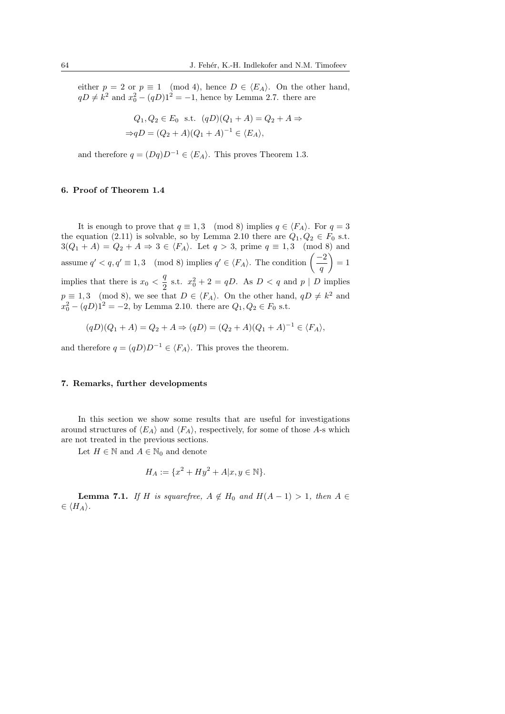either  $p = 2$  or  $p \equiv 1 \pmod{4}$ , hence  $D \in \langle E_A \rangle$ . On the other hand,  $qD \neq k^2$  and  $x_0^2 - (qD)1^2 = -1$ , hence by Lemma 2.7. there are

$$
Q_1, Q_2 \in E_0 \text{ s.t. } (qD)(Q_1 + A) = Q_2 + A \Rightarrow
$$
  
\n
$$
\Rightarrow qD = (Q_2 + A)(Q_1 + A)^{-1} \in \langle E_A \rangle,
$$

and therefore  $q = (Dq)D^{-1} \in \langle E_A \rangle$ . This proves Theorem 1.3.

# 6. Proof of Theorem 1.4

It is enough to prove that  $q \equiv 1, 3 \pmod{8}$  implies  $q \in \langle F_A \rangle$ . For  $q = 3$ the equation (2.11) is solvable, so by Lemma 2.10 there are  $Q_1, Q_2 \in F_0$  s.t.  $3(Q_1 + A) = Q_2 + A \Rightarrow 3 \in \langle F_A \rangle$ . Let  $q > 3$ , prime  $q \equiv 1, 3 \pmod{8}$  and  $\alpha(q_1 + A) - q_2 + A \rightarrow \beta \in \langle F_A \rangle$ . Let  $q > 3$ , prime  $q \equiv 1, 3 \pmod{6}$ <br>assume  $q' < q, q' \equiv 1, 3 \pmod{8}$  implies  $q' \in \langle F_A \rangle$ . The condition  $\begin{pmatrix} -2 \\ -1 \end{pmatrix}$  $\left(\frac{z}{q}\right)=1$ implies that there is  $x_0 < \frac{q}{q}$  $\frac{q}{2}$  s.t.  $x_0^2 + 2 = qD$ . As  $D < q$  and  $p | D$  implies  $p \equiv 1, 3 \pmod{8}$ , we see that  $D \in \langle F_A \rangle$ . On the other hand,  $qD \neq k^2$  and  $x_0^2 - (qD)1^2 = -2$ , by Lemma 2.10. there are  $Q_1, Q_2 \in F_0$  s.t.

$$
(qD)(Q_1 + A) = Q_2 + A \Rightarrow (qD) = (Q_2 + A)(Q_1 + A)^{-1} \in \langle F_A \rangle,
$$

and therefore  $q = (qD)D^{-1} \in \langle F_A \rangle$ . This proves the theorem.

#### 7. Remarks, further developments

In this section we show some results that are useful for investigations around structures of  $\langle E_A \rangle$  and  $\langle F_A \rangle$ , respectively, for some of those A-s which are not treated in the previous sections.

Let  $H \in \mathbb{N}$  and  $A \in \mathbb{N}_0$  and denote

$$
H_A := \{ x^2 + Hy^2 + A|x, y \in \mathbb{N} \}.
$$

**Lemma 7.1.** If H is squarefree,  $A \notin H_0$  and  $H(A-1) > 1$ , then  $A \in$  $\in \langle H_A \rangle$ .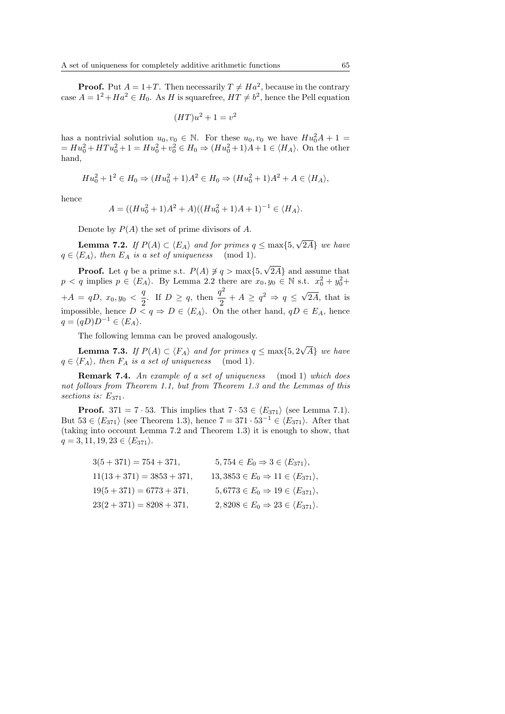**Proof.** Put  $A = 1+T$ . Then necessarily  $T \neq Ha^2$ , because in the contrary case  $A = 1^2 + Ha^2 \in H_0$ . As H is squarefree,  $HT \neq b^2$ , hence the Pell equation

$$
(HT)u^2 + 1 = v^2
$$

has a nontrivial solution  $u_0, v_0 \in \mathbb{N}$ . For these  $u_0, v_0$  we have  $Hu_0^2A + 1 =$  $= Hu_0^2 + HTu_0^2 + 1 = Hu_0^2 + v_0^2 \in H_0 \Rightarrow (Hu_0^2 + 1)A + 1 \in \langle H_A \rangle$ . On the other hand,

$$
Hu_0^2 + 1^2 \in H_0 \Rightarrow (Hu_0^2 + 1)A^2 \in H_0 \Rightarrow (Hu_0^2 + 1)A^2 + A \in \langle H_A \rangle,
$$

hence

$$
A = ((Hu_0^2 + 1)A^2 + A)((Hu_0^2 + 1)A + 1)^{-1} \in \langle H_A \rangle.
$$

Denote by  $P(A)$  the set of prime divisors of A.

**Lemma 7.2.** If  $P(A) \subset \langle E_A \rangle$  and for primes  $q \leq \max\{5,$ √ 2A} we have  $q \in \langle E_A \rangle$ , then  $E_A$  is a set of uniqueness (mod 1).

**Proof.** Let q be a prime s.t.  $P(A) \neq q > \max\{5,$ √ 2A} and assume that  $p < q$  implies  $p \in \langle E_A \rangle$ . By Lemma 2.2 there are  $x_0, y_0 \in \mathbb{N}$  s.t.  $x_0^2 + y_0^2 +$  $+A = qD, x_0, y_0 < \frac{q}{q}$  $\frac{q}{2}$ . If  $D \geq q$ , then  $\frac{q^2}{2}$  $\frac{q^2}{2} + A \geq q^2 \Rightarrow q \leq \sqrt{2}$ 2A, that is impossible, hence  $D \le q \Rightarrow D \in \langle E_A \rangle$ . On the other hand,  $qD \in E_A$ , hence  $q = (qD)D^{-1} \in \langle E_A \rangle$ .

The following lemma can be proved analogously.

**Lemma 7.3.** If  $P(A) \subset \langle F_A \rangle$  and for primes  $q \leq \max\{5, 2\}$ √ A} we have  $q \in \langle F_A \rangle$ , then  $F_A$  is a set of uniqueness (mod 1).

**Remark 7.4.** An example of a set of uniqueness (mod 1) which does not follows from Theorem 1.1, but from Theorem 1.3 and the Lemmas of this sections is:  $E_{371}$ .

**Proof.** 371 = 7 · 53. This implies that  $7 \cdot 53 \in \langle E_{371} \rangle$  (see Lemma 7.1). But  $53 \in \langle E_{371} \rangle$  (see Theorem 1.3), hence  $7 = 371 \cdot 53^{-1} \in \langle E_{371} \rangle$ . After that (taking into occount Lemma 7.2 and Theorem 1.3) it is enough to show, that  $q = 3, 11, 19, 23 \in \langle E_{371} \rangle.$ 

> $3(5+371) = 754 + 371,$   $5, 754 \in E_0 \Rightarrow 3 \in \langle E_{371} \rangle,$  $11(13 + 371) = 3853 + 371,$   $13, 3853 \in E_0 \Rightarrow 11 \in \langle E_{371} \rangle,$  $19(5 + 371) = 6773 + 371,$   $5, 6773 \in E_0 \Rightarrow 19 \in \langle E_{371} \rangle,$  $23(2+371) = 8208 + 371,$   $2, 8208 \in E_0 \Rightarrow 23 \in \langle E_{371} \rangle.$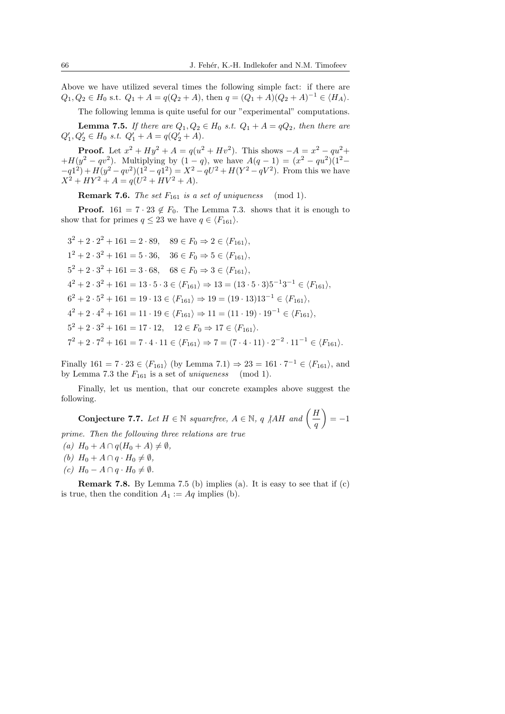Above we have utilized several times the following simple fact: if there are  $Q_1, Q_2 \in H_0 \text{ s.t. } Q_1 + A = q(Q_2 + A), \text{ then } q = (Q_1 + A)(Q_2 + A)^{-1} \in \langle H_A \rangle.$ 

The following lemma is quite useful for our "experimental" computations.

**Lemma 7.5.** If there are  $Q_1, Q_2 \in H_0$  s.t.  $Q_1 + A = qQ_2$ , then there are  $Q'_1, Q'_2 \in H_0 \text{ s.t. } Q'_1 + A = q(Q'_2 + A).$ 

**Proof.** Let  $x^2 + Hy^2 + A = q(u^2 + Hv^2)$ . This shows  $-A = x^2 - qu^2 +$  $+H(y^2 - qv^2)$ . Multiplying by  $(1 - q)$ , we have  $A(q - 1) = (x^2 - qu^2)(1^2 - qv^2)$  $-q^{1^2} + H(y^2 - qv^2)(1^2 - q^{1^2}) = X^2 - qU^2 + H(Y^2 - qV^2)$ . From this we have  $X^2 + HY^2 + A = q(U^2 + HV^2 + A).$ 

**Remark 7.6.** The set  $F_{161}$  is a set of uniqueness (mod 1).

**Proof.** 161 =  $7 \cdot 23 \notin F_0$ . The Lemma 7.3. shows that it is enough to show that for primes  $q \leq 23$  we have  $q \in \langle F_{161} \rangle$ .

$$
3^{2} + 2 \cdot 2^{2} + 161 = 2 \cdot 89, \quad 89 \in F_{0} \Rightarrow 2 \in \langle F_{161} \rangle,
$$
  
\n
$$
1^{2} + 2 \cdot 3^{2} + 161 = 5 \cdot 36, \quad 36 \in F_{0} \Rightarrow 5 \in \langle F_{161} \rangle,
$$
  
\n
$$
5^{2} + 2 \cdot 3^{2} + 161 = 3 \cdot 68, \quad 68 \in F_{0} \Rightarrow 3 \in \langle F_{161} \rangle,
$$
  
\n
$$
4^{2} + 2 \cdot 3^{2} + 161 = 13 \cdot 5 \cdot 3 \in \langle F_{161} \rangle \Rightarrow 13 = (13 \cdot 5 \cdot 3)5^{-1}3^{-1} \in \langle F_{161} \rangle,
$$
  
\n
$$
6^{2} + 2 \cdot 5^{2} + 161 = 19 \cdot 13 \in \langle F_{161} \rangle \Rightarrow 19 = (19 \cdot 13)13^{-1} \in \langle F_{161} \rangle,
$$
  
\n
$$
4^{2} + 2 \cdot 4^{2} + 161 = 11 \cdot 19 \in \langle F_{161} \rangle \Rightarrow 11 = (11 \cdot 19) \cdot 19^{-1} \in \langle F_{161} \rangle,
$$
  
\n
$$
5^{2} + 2 \cdot 3^{2} + 161 = 17 \cdot 12, \quad 12 \in F_{0} \Rightarrow 17 \in \langle F_{161} \rangle.
$$
  
\n
$$
7^{2} + 2 \cdot 7^{2} + 161 = 7 \cdot 4 \cdot 11 \in \langle F_{161} \rangle \Rightarrow 7 = (7 \cdot 4 \cdot 11) \cdot 2^{-2} \cdot 11^{-1} \in \langle F_{161} \rangle.
$$

Finally  $161 = 7 \cdot 23 \in \langle F_{161} \rangle$  (by Lemma 7.1)  $\Rightarrow 23 = 161 \cdot 7^{-1} \in \langle F_{161} \rangle$ , and by Lemma 7.3 the  $F_{161}$  is a set of uniqueness (mod 1).

Finally, let us mention, that our concrete examples above suggest the following.  $\mathbf{r}$ 

Conjecture 7.7. Let  $H \in \mathbb{N}$  squarefree,  $A \in \mathbb{N}$ , q ||AH and  $\left( \frac{H}{H} \right)$ q  $=-1$ prime. Then the following three relations are true

- (a)  $H_0 + A \cap q(H_0 + A) \neq \emptyset$ ,
- (b)  $H_0 + A \cap q \cdot H_0 \neq \emptyset$ ,
- $(c) H_0 A \cap q \cdot H_0 \neq \emptyset.$

**Remark 7.8.** By Lemma 7.5 (b) implies (a). It is easy to see that if  $(c)$ is true, then the condition  $A_1 := Aq$  implies (b).